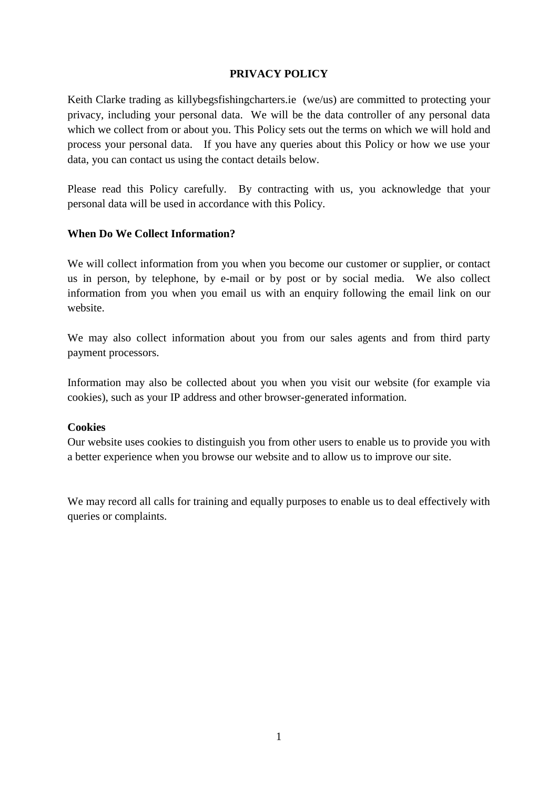### **PRIVACY POLICY**

Keith Clarke trading as killybegsfishingcharters.ie (we/us) are committed to protecting your privacy, including your personal data. We will be the data controller of any personal data which we collect from or about you. This Policy sets out the terms on which we will hold and process your personal data. If you have any queries about this Policy or how we use your data, you can contact us using the contact details below.

Please read this Policy carefully. By contracting with us, you acknowledge that your personal data will be used in accordance with this Policy.

#### **When Do We Collect Information?**

We will collect information from you when you become our customer or supplier, or contact us in person, by telephone, by e-mail or by post or by social media. We also collect information from you when you email us with an enquiry following the email link on our website.

We may also collect information about you from our sales agents and from third party payment processors.

Information may also be collected about you when you visit our website (for example via cookies), such as your IP address and other browser-generated information.

#### **Cookies**

Our website uses cookies to distinguish you from other users to enable us to provide you with a better experience when you browse our website and to allow us to improve our site.

We may record all calls for training and equally purposes to enable us to deal effectively with queries or complaints.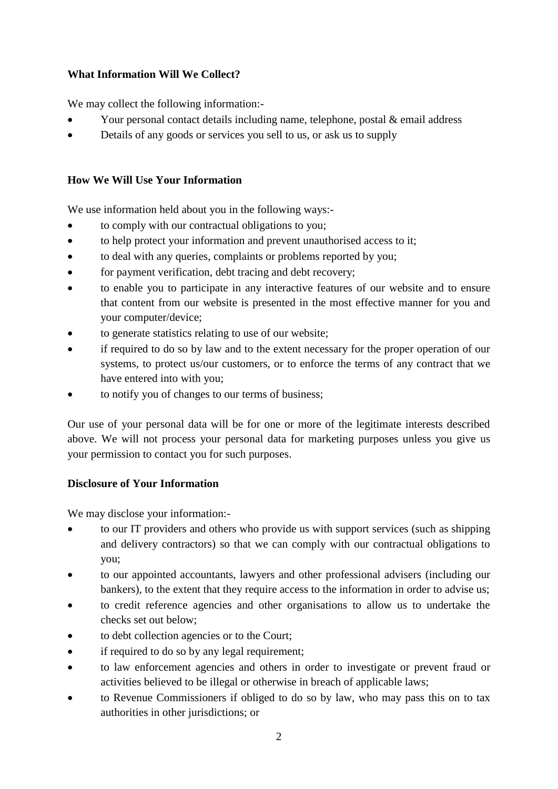# **What Information Will We Collect?**

We may collect the following information:-

- Your personal contact details including name, telephone, postal & email address
- Details of any goods or services you sell to us, or ask us to supply

## **How We Will Use Your Information**

We use information held about you in the following ways:-

- to comply with our contractual obligations to you;
- to help protect your information and prevent unauthorised access to it;
- to deal with any queries, complaints or problems reported by you;
- for payment verification, debt tracing and debt recovery;
- to enable you to participate in any interactive features of our website and to ensure that content from our website is presented in the most effective manner for you and your computer/device;
- to generate statistics relating to use of our website;
- if required to do so by law and to the extent necessary for the proper operation of our systems, to protect us/our customers, or to enforce the terms of any contract that we have entered into with you;
- to notify you of changes to our terms of business;

Our use of your personal data will be for one or more of the legitimate interests described above. We will not process your personal data for marketing purposes unless you give us your permission to contact you for such purposes.

### **Disclosure of Your Information**

We may disclose your information:-

- to our IT providers and others who provide us with support services (such as shipping and delivery contractors) so that we can comply with our contractual obligations to you;
- to our appointed accountants, lawyers and other professional advisers (including our bankers), to the extent that they require access to the information in order to advise us;
- to credit reference agencies and other organisations to allow us to undertake the checks set out below;
- to debt collection agencies or to the Court;
- if required to do so by any legal requirement;
- to law enforcement agencies and others in order to investigate or prevent fraud or activities believed to be illegal or otherwise in breach of applicable laws;
- to Revenue Commissioners if obliged to do so by law, who may pass this on to tax authorities in other jurisdictions; or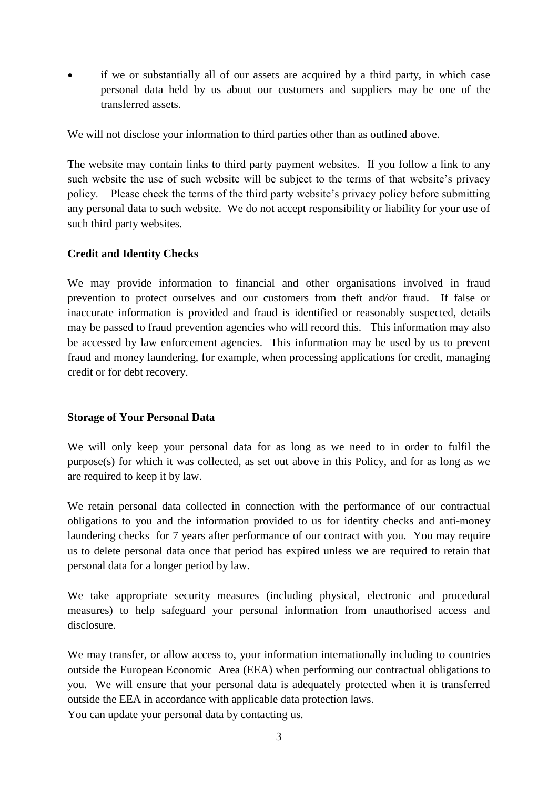if we or substantially all of our assets are acquired by a third party, in which case personal data held by us about our customers and suppliers may be one of the transferred assets.

We will not disclose your information to third parties other than as outlined above.

The website may contain links to third party payment websites. If you follow a link to any such website the use of such website will be subject to the terms of that website's privacy policy. Please check the terms of the third party website's privacy policy before submitting any personal data to such website. We do not accept responsibility or liability for your use of such third party websites.

### **Credit and Identity Checks**

We may provide information to financial and other organisations involved in fraud prevention to protect ourselves and our customers from theft and/or fraud. If false or inaccurate information is provided and fraud is identified or reasonably suspected, details may be passed to fraud prevention agencies who will record this. This information may also be accessed by law enforcement agencies. This information may be used by us to prevent fraud and money laundering, for example, when processing applications for credit, managing credit or for debt recovery.

### **Storage of Your Personal Data**

We will only keep your personal data for as long as we need to in order to fulfil the purpose(s) for which it was collected, as set out above in this Policy, and for as long as we are required to keep it by law.

We retain personal data collected in connection with the performance of our contractual obligations to you and the information provided to us for identity checks and anti-money laundering checks for 7 years after performance of our contract with you. You may require us to delete personal data once that period has expired unless we are required to retain that personal data for a longer period by law.

We take appropriate security measures (including physical, electronic and procedural measures) to help safeguard your personal information from unauthorised access and disclosure.

We may transfer, or allow access to, your information internationally including to countries outside the European Economic Area (EEA) when performing our contractual obligations to you. We will ensure that your personal data is adequately protected when it is transferred outside the EEA in accordance with applicable data protection laws. You can update your personal data by contacting us.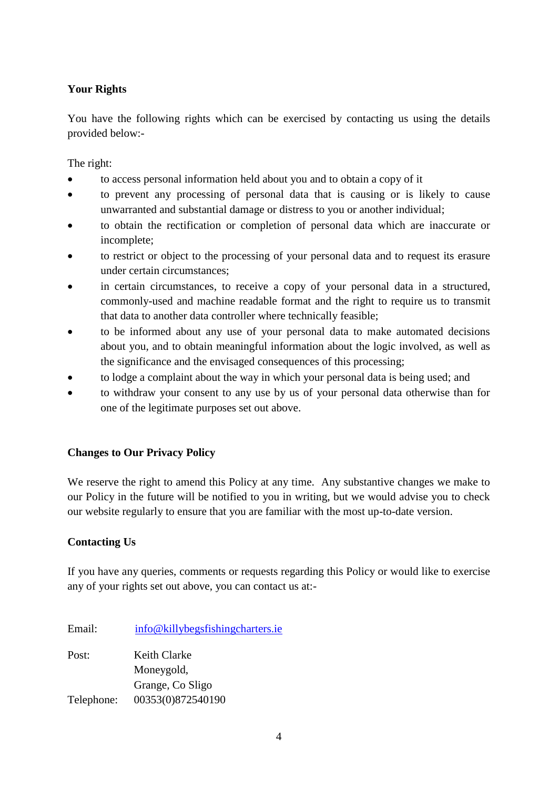# **Your Rights**

You have the following rights which can be exercised by contacting us using the details provided below:-

The right:

- to access personal information held about you and to obtain a copy of it
- to prevent any processing of personal data that is causing or is likely to cause unwarranted and substantial damage or distress to you or another individual;
- to obtain the rectification or completion of personal data which are inaccurate or incomplete;
- to restrict or object to the processing of your personal data and to request its erasure under certain circumstances;
- in certain circumstances, to receive a copy of your personal data in a structured, commonly-used and machine readable format and the right to require us to transmit that data to another data controller where technically feasible;
- to be informed about any use of your personal data to make automated decisions about you, and to obtain meaningful information about the logic involved, as well as the significance and the envisaged consequences of this processing;
- to lodge a complaint about the way in which your personal data is being used; and
- to withdraw your consent to any use by us of your personal data otherwise than for one of the legitimate purposes set out above.

### **Changes to Our Privacy Policy**

We reserve the right to amend this Policy at any time. Any substantive changes we make to our Policy in the future will be notified to you in writing, but we would advise you to check our website regularly to ensure that you are familiar with the most up-to-date version.

### **Contacting Us**

If you have any queries, comments or requests regarding this Policy or would like to exercise any of your rights set out above, you can contact us at:-

| Email:     | info@killybegsfishingcharters.ie |
|------------|----------------------------------|
| Post:      | Keith Clarke                     |
|            | Moneygold,                       |
|            | Grange, Co Sligo                 |
| Telephone: | 00353(0)872540190                |